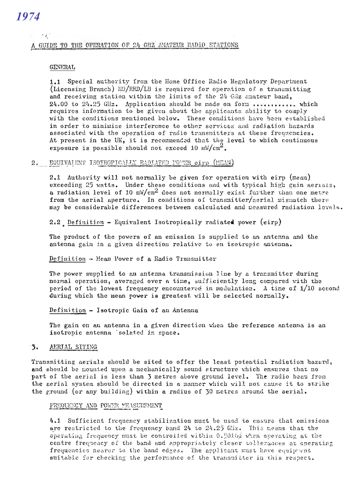## 1974

### $\frac{1}{2}$ A GUIDE TO THE OPERATION OF 24 GHZ AMATEUR RADIO STATIONS

#### **GENERAL**

1.1 Special authority from the Home Office Radio Regulatory Department (Licensing Branch) HO/RRD/LB is required for operation of a transmitting and receiving station within the limits of the 24 GHz amateur band, 24.00 to 24.25 GHz. Application should be made on form ............. which requires information to be given about the applicants ability to comply with the conditions mentioned below. These conditions have been established in order to minimise interference to other services and radiation hazards associated with the operation of radio transmitters at these frequencies. At present in the UK, it is recommended that the level to which continuous exposure is possible should not exceed 10  $m\sqrt{cm^2}$ .

#### 2. EQUIVALENT ISOTROPICALLY RADIATED POWER eirp (MEAN)

2.1 Authority will not normally be given for operation with eirp (mean) exceeding 25 watts. Under these conditions and with typical high gain aerials, a radiation level of 10  $mW/cm^2$  does not normally exist further than one metre from the aerial aperture. In conditions of transmitter/aerial mismatch there may be considerable differences between calculated and measured radiation levels.

2.2 Definition - Equivalent Isotropically radiated power (eirp)

The product of the powers of an emission is supplied to an antenna and the antenna gain in a given direction relative to an isotropic antenna.

### Definition - Mean Power of a Radio Transmitter

The power supplied to an antenna transmission line by a transmitter during normal operation, averaged over a time, sufficiently long compared with the period of the lowest frequency encountered in modulation. A time of 1/10 second during which the mean power is greatest will be selected normally.

Definition - Isotropic Gain of an Antenna

The gain on an antenna in a given direction when the reference antenna is an isotropic antenna 'solated in space.

#### $3.$ AERIAL SITING

Transmitting aerials should be sited to offer the least potential radiation hazard, and should be mounted upon a mechanically sound structure which ensures that no part of the aerial is less than 3 metres above ground level. The radio beam from the aerial system should be directed in a manner which will not cause it to strike the ground (or any building) within a radius of 30 metres around the aerial.

#### FREQUENCY AND POWER MEASUREMENT

4.1 Sufficient frequency stabilization must be used to ensure that emissions are restricted to the frequency band 24 to 24.25 GMz. This means that the operating frequency must be controlled within 0.5016% when operating at the centre frequency of the band and appropriately cleser tollerances at operating frequencies nearer to the band edges. The applicant must have equipment suitable for checking the performance of the transmitter in this respect.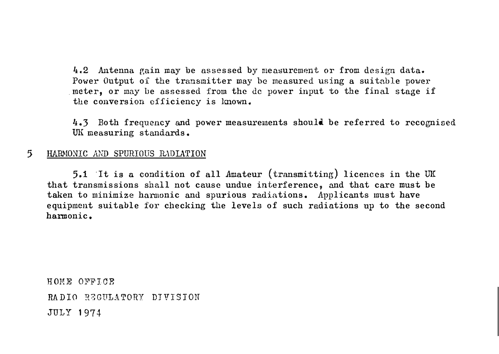4.2 Antenna gain may be assessed by measurement or from design data. Power Output of the transmitter may be measured using a suitable power .meter, or may be assessed from the de power input to the final stage if the conversion efficiency is lmown.

4.3 Both frequency and power measurements should be referred to recognised UK measuring standards.

#### 5 HARMONIC AND SPURIOUS RADIATION

5.1 ·It is a condition of all Amateur (transmitting) licences in the UK that transmissions shall not cause undue interference, and that care must be taken to minimize harmonic and spurious radiations. Applicants must have equipment suitable for checking the levels of such radiations up to the second hannonic.

HOME OFFICE RADIO REGULATORY DIVISION JULY 1974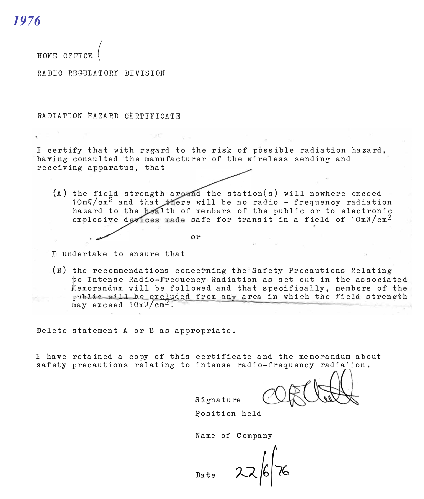*1976*

**HOME OFFICE (** 

RADIO REGULATORY DIVISION

RADIATION HAZARD CERTIFICATE

I certify that with regard to the risk of possible radiation hazard, having consulted the manufacturer of the wireless sending and receiving apparatus, that

(A) the field strength around the station(s) will nowhere exceed  $10 \text{ m}\sqrt[n]{\text{cm}^2}$  and that there will be no radio - frequency radiation hazard to the bealth of members of the public or to electronic explosive devices made safe for transit in a field of  $10 \text{mW/cm}^2$ 

**or** 

I undertake to ensure that

(B) the recommendations conce�ning the Safety Precautions Relating to Intense Radio-Frequency Radiation as set out in the associated to Intense Radio-Frequency Radiation as set out in the associated<br>Memorandum will be followed and that specifically, members of the public will be excluded from any area in which the field strength may exceed  $10m\frac{W}{cm}$ .

Delete statement A or Bas appropriate.

I have retained a copy of this certificate and the memorandum about safety precautions relating to intense radio-frequency radia'ion.

Signature

Position held

Name of company

Date